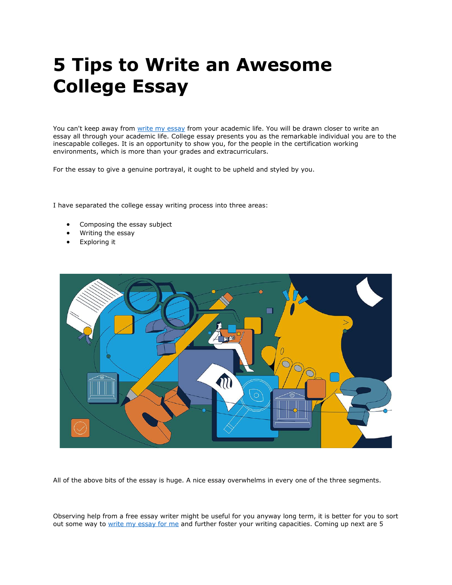# **5 Tips to Write an Awesome College Essay**

You can't keep away from [write my essay](https://writemyessayfast.net/) from your academic life. You will be drawn closer to write an essay all through your academic life. College essay presents you as the remarkable individual you are to the inescapable colleges. It is an opportunity to show you, for the people in the certification working environments, which is more than your grades and extracurriculars.

For the essay to give a genuine portrayal, it ought to be upheld and styled by you.

I have separated the college essay writing process into three areas:

- Composing the essay subject
- Writing the essay
- Exploring it



All of the above bits of the essay is huge. A nice essay overwhelms in every one of the three segments.

Observing help from a free essay writer might be useful for you anyway long term, it is better for you to sort out some way to [write my essay for me](https://writemyessayfast.net/) and further foster your writing capacities. Coming up next are 5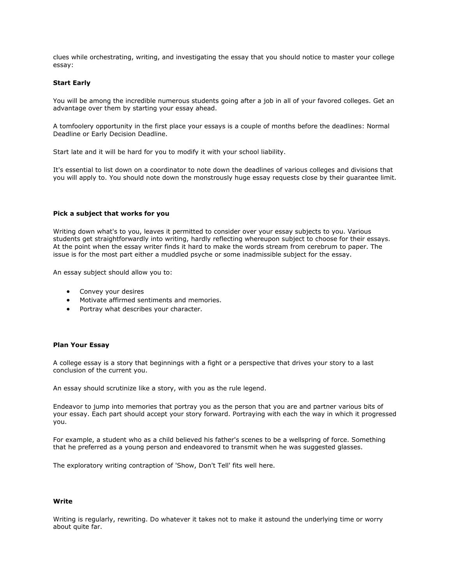clues while orchestrating, writing, and investigating the essay that you should notice to master your college essay:

# **Start Early**

You will be among the incredible numerous students going after a job in all of your favored colleges. Get an advantage over them by starting your essay ahead.

A tomfoolery opportunity in the first place your essays is a couple of months before the deadlines: Normal Deadline or Early Decision Deadline.

Start late and it will be hard for you to modify it with your school liability.

It's essential to list down on a coordinator to note down the deadlines of various colleges and divisions that you will apply to. You should note down the monstrously huge essay requests close by their guarantee limit.

#### **Pick a subject that works for you**

Writing down what's to you, leaves it permitted to consider over your essay subjects to you. Various students get straightforwardly into writing, hardly reflecting whereupon subject to choose for their essays. At the point when the essay writer finds it hard to make the words stream from cerebrum to paper. The issue is for the most part either a muddled psyche or some inadmissible subject for the essay.

An essay subject should allow you to:

- Convey your desires
- Motivate affirmed sentiments and memories.
- Portray what describes your character.

## **Plan Your Essay**

A college essay is a story that beginnings with a fight or a perspective that drives your story to a last conclusion of the current you.

An essay should scrutinize like a story, with you as the rule legend.

Endeavor to jump into memories that portray you as the person that you are and partner various bits of your essay. Each part should accept your story forward. Portraying with each the way in which it progressed you.

For example, a student who as a child believed his father's scenes to be a wellspring of force. Something that he preferred as a young person and endeavored to transmit when he was suggested glasses.

The exploratory writing contraption of 'Show, Don't Tell' fits well here.

## **Write**

Writing is regularly, rewriting. Do whatever it takes not to make it astound the underlying time or worry about quite far.